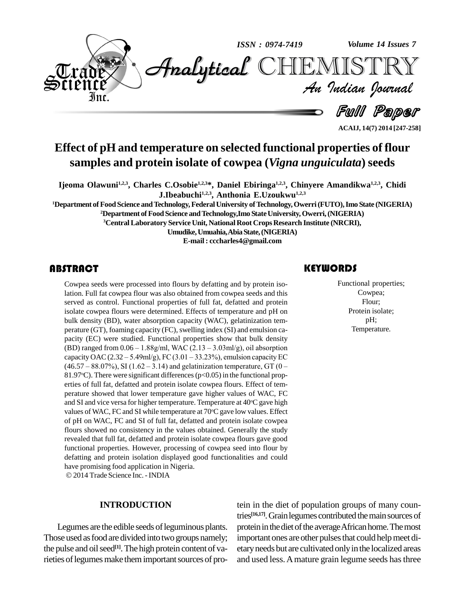

**Effect of pH and temperature on selected functional properties of flour samples and protein isolate of cowpea (***Vigna unguiculata***) seeds**

**Ijeoma Olawuni1,2,3 , Charles C.Osobie 1,2,3\*, Daniel Ebiringa 1,2,3 , Chinyere Amandikwa 1,2,3 , Chidi J.Ibeabuchi1,2,3 , Anthonia E.Uzoukwu 1,2,3**

**<sup>1</sup>Department ofFoodScience andTechnology,FederalUniversity ofTechnology,Owerri(FUTO),Imo State (NIGERIA)**

**<sup>2</sup>Department ofFoodScience andTechnology,Imo StateUniversity,Owerri,(NIGERIA)**

**<sup>3</sup>CentralLaboratory Service Unit, National Root CropsResearch Institute (NRCRI),**

**Umudike,Umuahia,AbiaState,(NIGERIA)**

**E-mail : [cccharles4@gmail.com](mailto:cccharles4@gmail.com)**

#### **ABSTRACT**

Cowpea seeds were procedurion. Full fat cowpea flatter served as control. Funct Cowpea seeds were processed into flours by defatting and by protein isolation. Full fat cowpea flour was also obtained from cowpea seeds and this served as control. Functional properties of full fat, defatted and protein isolate cowpea flours were determined. Effects of temperature and pH on bulk density (BD), water absorption capacity (WAC), gelatinization tem perature (GT), foaming capacity (FC), swelling index (SI) and emulsion capacity (EC) were studied. Functional properties show that bulk density perature (GT), foaming capacity (FC), swelling index (SI) and emulsion ca-<br>pacity (EC) were studied. Functional properties show that bulk density<br>(BD) ranged from 0.06 – 1.88g/ml, WAC (2.13 – 3.03ml/g), oil absorption pacity (EC) were studied. Functional properties show that bulk density<br>(BD) ranged from 0.06 – 1.88g/ml, WAC (2.13 – 3.03ml/g), oil absorption<br>capacity OAC (2.32 – 5.49ml/g), FC (3.01 – 33.23%), emulsion capacity EC (BD) ranged from  $0.06 - 1.88g/ml$ , WAC  $(2.13 - 3.03ml/g)$ , oil absorption capacity OAC  $(2.32 - 5.49ml/g)$ , FC  $(3.01 - 33.23\%)$ , emulsion capacity EC  $(46.57 - 88.07\%)$ , SI  $(1.62 - 3.14)$  and gelatinization temperature, GT  $(0 -$ 81.97 °C). There were significant differences ( $p$ <0.05) in the functional properties of full fat, defatted and protein isolate cowpea flours. Effect of tem perature showed that lower temperature gave higher values of WAC, FC and SI and vice versa for higher temperature. Temperature at  $40^{\circ}\mathrm{C}$  gave high values of WAC, FC and SI while temperature at 70°C gave low values. Effect of pH on WAC, FC and SIof full fat, defatted and protein isolate cowpea flours showed no consistency in the values obtained. Generally the study revealed that full fat, defatted and protein isolate cowpea flours gave good functional properties. However, processing of cowpea seed into flour by defatting and protein isolation displayed good functionalities and could have promising food application in Nigeria.

2014 Trade Science Inc.-INDIA

#### **INTRODUCTION**

Legumes are the edible seeds of leguminous plants. Those used as food are divided into two groups namely; the pulse and oil seed<sup>[1]</sup>. The high protein content of varieties of legumes make them important sources of pro-

#### **KEYWORDS**

Functional prope<br>Cowpea;<br>Flour; Functional properties; Cowpea; Flour; Protein isolate; pH; Temperature.

**ACAIJ, 14(7) 2014 [247-258]**

tein in the diet of population groups of many countries<sup>[16,17]</sup>. Grain legumes contributed the main sources of protein in the diet of the average African home. The most important ones are other pulses that could help meet dietaryneeds but are cultivated onlyinthe localized areas and used less.Amature grain legume seeds hasthree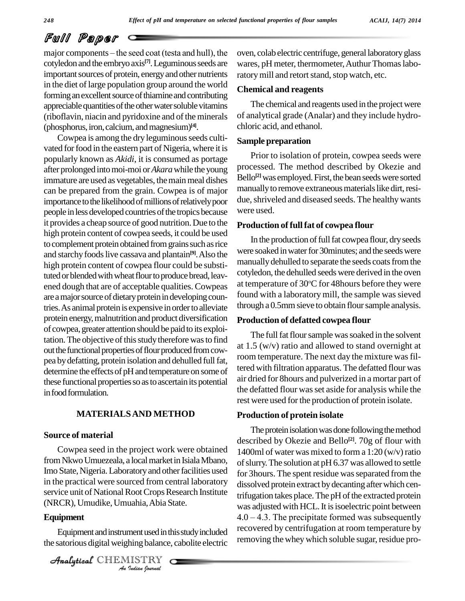major components  $-\theta$  the seed coat (testa and hull), the cotyledon and the embryo axis<sup>[7]</sup>. Leguminous seeds are wares important sources of protein, energy and other nutrients in the diet of large population group around the world forming an excellent source of thiamine and contributing appreciable quantities of the other water soluble vitamins (riboflavin, niacin and pyridoxine and of the minerals (phosphorus, iron, calcium, and magnesium)<sup>[4]</sup>.

Cowpea is among the dry leguminous seeds cultivated for food in the eastern part of Nigeria, where it is popularly known as *Akidi*, it is consumed as portage after prolonged intomoi-moi or*Akara*while the young immature are used as vegetables, the main meal dishes can be prepared from the grain.Cowpea is of major importance to the likelihood of millions of relatively poor people in less developed countries of the tropics because it provides a cheap source of good nutrition.Due to the high protein content of cowpea seeds, it could be used to complement protein obtained from grains such as rice and starchy foods live cassava and plantain<sup>[9]</sup>. Also the were s high protein content of cowpea flour could be substituted or blended with wheat flour to produce bread, leavened dough that are of acceptable qualities. Cowpeas are a major source of dietary protein in developing countries. As animal protein is expensive in order to alleviate protein energy, malnutrition and product diversification of cowpea, greater attention should be paid to its exploitation. The objective of this study therefore was to find out the functional properties of flour produced from cowpea by defatting, protein isolation and dehulled full fat, determine the effects of pH and temperature on some of these functional properties so as to ascertain its potential in food formulation.

#### **MATERIALSAND METHOD**

#### **Source of material**

*An*Analytical(NRCR), Umudike,Umuahia,Abia State. Cowpea seed in the project work were obtained from Nkwo Umuezeala, a local market in Isiala Mbano, Imo State, Nigeria. Laboratory and other facilities used in the practical were sourced from central laboratory service unit of National Root Crops Research Institute

#### **Equipment**

**Indiana**, Abia S<br>**Indiana** balance,<br>IISTRY<br>*Indian Iournal* Equipment and instrument used in this study included the satorious digital weighing balance, cabolite electric

CHEMISTRY

oven, colab electric centrifuge, general laboratoryglass wares, pH meter, thermometer, Authur Thomas laboratory mill and retort stand, stop watch, etc.

#### **Chemical and reagents**

The chemical and reagents used in the project were of analytical grade (Analar) and they include hydro chloric acid, and ethanol.

#### **Sample preparation**

Prior to isolation of protein, cowpea seeds were processed. The method described by Okezie and Bello<sup>[2]</sup> was employed. First, the bean seeds were sorted manually to remove extraneous materials like dirt, residue, shriveled and diseased seeds. The healthy wants were used.

#### **Production of fullfat of cowpea flour**

In the production of full fat cowpea flour, dry seeds were soaked in water for 30minutes; and the seeds were manually dehulled to separate the seeds coats from the cotyledon, the dehulled seeds were derived in the oven at temperature of 30°C for 48hours before they were found with a laboratory mill, the sample was sieved through a 0.5mm sieve to obtain flour sample analysis.

#### **Production of defatted cowpea flour**

The full fat flour sample was soaked in the solvent at 1.5 (w/v) ratio and allowed to stand overnight at room temperature. The next day the mixture was filtered with filtration apparatus. The defatted flour was air dried for 8hours and pulverized in a mortar part of the defatted flour wasset aside for analysis while the rest were used for the production of protein isolate.

#### **Production of protein isolate**

The protein isolation was done following the method described by Okezie and Bello **[2]**. 70g of flour with 1400ml of water was mixed to form a  $1:20$  (w/v) ratio of slurry. The solution at pH 6.37 was allowed to settle for 3 hours. The spent residue was separated from the dissolved protein extract by decanting after which centrifugation takes place. The pH of the extracted protein was adjusted with HCL. It is isoelectric point between trifugation takes place. The pH of the extracted protein<br>was adjusted with HCL. It is isoelectric point between<br>4.0 – 4.3. The precipitate formed was subsequently recovered by centrifugation at room temperature by removing the whey which soluble sugar, residue pro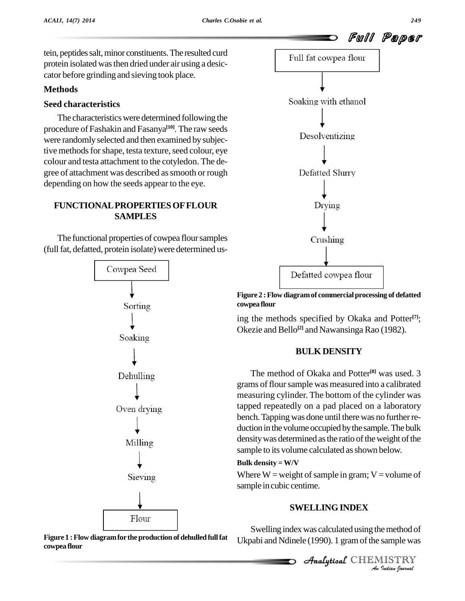tein, peptides salt, minor constituents. The resulted curd protein isolated wasthen dried under air using a desic cator before grinding and sieving took place.

#### **Methods**

#### **Seed characteristics**

The characteristics were determined following the procedure of Fashakin and Fasanya **[10]**. The raw seeds were randomlyselected and then examined by subjective methods for shape, testa texture, seed colour, eye colour and testa attachment to the cotyledon. The de gree of attachment was described assmooth or rough depending on how the seeds appear to the eye.

#### **FUNCTIONALPROPERTIESOFFLOUR SAMPLES**

The functional properties of cowpea floursamples (full fat, defatted, protein isolate) were determined us-







**Figure 2 :Flow diagramof commercialprocessing of defatted cowpea flour**

ing the methods specified by Okaka and Potter **[7]**; Okezie and Bello<sup>[2]</sup> and Nawansinga Rao (1982).

#### **BULKDENSITY**

The method of Okaka and Potter **[8]** was used. 3 grams of flour sample was measured into a calibrated measuring cylinder. The bottom of the cylinder was tapped repeatedly on a pad placed on a laboratory bench. Tapping was done until there was no further reduction in the volume occupied by the sample. The bulk density was determined as the ratio of the weight of the sample to its volume calculated as shown below.

#### **Bulk density = W/V**

Where  $W = weight$  of sample in gram;  $V = volume$  of sample in cubic centime.

#### Analytical**SWELLINGINDEX**

**E** method of<br> **IISTRY**<br>IISTRY Swelling index was calculated using the method of

Analytical CHEMISTRY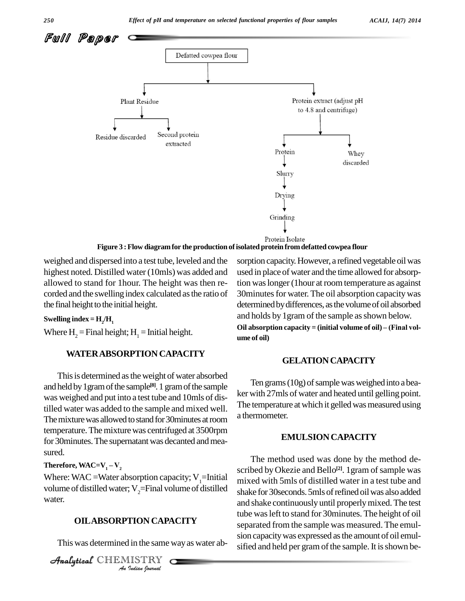

weighed and dispersed into a test tube, leveled and the highest noted. Distilled water (10mls) was added and allowed to stand for 1hour. The height was then re corded and the swelling index calculated asthe ratio of the final height to the initial height.

#### Swelling index =  $H_2/H_1$

Where  $H_2$  = Final height;  $H_1$  = Initial height.

#### **WATERABSORPTION CAPACITY**

This is determined as the weight of water absorbed and held by 1 gram of the sample<sup>[8]</sup>. 1 gram of the sample was weighed and put into a test tube and 10mls of distilled water was added to the sample and mixed well. The mixture was allowed to stand for 30minutes at room temperature. The mixture was centrifuged at 3500rpm for 30 minutes. The supernatant was decanted and measured.

#### **Therefore, WAC=V<sub>1</sub> – V<sub>2</sub>**

Where: WAC = Water absorption capacity;  $V_1$ =Initial volume of distilled water;  $V_{2}$ =Final volume of distilled water.

#### **OILABSORPTION CAPACITY**

This was determined in the same wayas water ab-

**IION CAPA**<br>*I* in the same<br>*IISTRY* CHEMISTRY sorption capacity. However, a refined vegetable oil was used in place of water and the time allowed for absorption was longer (1 hour at room temperature as against 30 minutes for water. The oil absorption capacity was determined by differences, as the volume of oil absorbed and holds by 1 gram of the sample as shown below. **Oil absorption capacity <sup>=</sup> (initial volume of oil) <sup>ñ</sup> (Final vol ume of oil)**

#### **GELATIONCAPACITY**

Ten grams (10g) of sample was weighed into a beaker with 27mls of water and heated until gelling point. The temperature at which it gelled was measured using a thermometer.

#### **EMULSIONCAPACITY**

The method used was done by the method de scribed by Okezie and Bello<sup>[2]</sup>. 1gram of sample was mixed with 5mls of distilled water in a test tube and shake for 30 seconds. 5mls of refined oil was also added and shake continuously until properlymixed.The test tube wasleft to stand for 30minutes. The height of oil separated from the sample was measured. The emul sion capacitywas expressed asthe amount of oil emul sified and held per gram of the sample. It is shown be-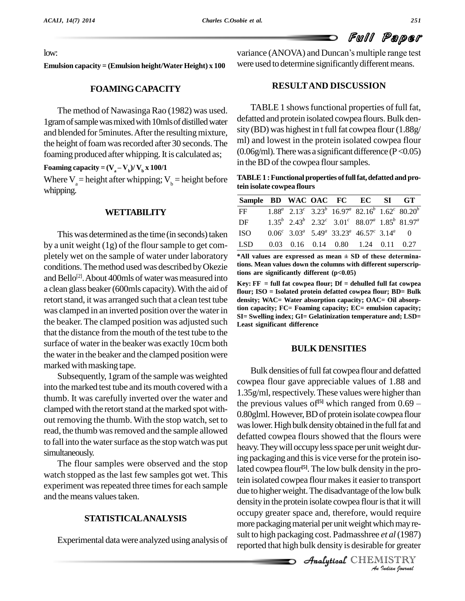low:

**Emulsion capacity = (Emulsion height/Water Height) x 100**

**FOAMINGCAPACITY**

The method of Nawasinga Rao (1982) was used. 1 gram of sample was mixed with 10mls of distilled water and blended for 5minutes. After the resulting mixture, the height of foam was recorded after 30 seconds. The foaming produced after whipping. It is calculated as;  $(0$ <br>**Foaming capacity** =  $(\mathbf{V}_a - \mathbf{V}_b)/\mathbf{V}_b \times \mathbf{x}$  **100/1** in

Where  $V_a$  = height after whipping;  $V_b$  = height before whipping.

#### **WETTABILITY**

This was determined as the time (in seconds) taken by a unit weight  $(1g)$  of the flour sample to get completely wet on the sample of water under laboratory conditions. The method used was described by Okezie and Bello<sup>[2]</sup>. About 400mls of water was measured into a clean glass beaker(600mls capacity).With the aid of retort stand, it was arranged such that a clean test tube was clamped in an inverted position over the water in the beaker. The clamped position was adjusted such that the distance from the mouth of the test tube to the surface of water in the beaker was exactly 10cm both the water in the beaker and the clamped position were marked with masking tape.

Subsequently, 1 gram of the sample was weighted into the marked test tube and its mouth covered with a thumb. It was carefully inverted over the water and clamped with the retort stand at the marked spot without removing the thumb. With the stop watch, set to read, the thumb was removed and the sample allowed to fall into the water surface as the stop watch was put simultaneously.

The flour samples were observed and the stop watch stopped as the last few samples got wet. This experiment was repeated three times for each sample and the means values taken.

#### **STATISTICALANALYSIS**

Experimental datawere analyzed using analysis of

variance (ANOVA) and Duncan's multiple range test were used to determine significantly different means.

#### **RESULTAND DISCUSSION**

TABLE 1 shows functional properties of full fat, defatted and protein isolated cowpea flours. Bulk density (BD) was highest in t full fat cowpea flour  $(1.88g/$ ml) and lowest in the protein isolated cowpea flour  $(0.06g/ml)$ . There was a significant difference (P < 0.05) in the BD of the cowpea flour samples.

**TABLE1 :Functional properties offullfat,defatted and protein isolate cowpea flours**

| Sample BD WAC OAC FC EC SI GT          |  |  |                                                                                                                         |  |
|----------------------------------------|--|--|-------------------------------------------------------------------------------------------------------------------------|--|
| $\mathbf{F}$                           |  |  | $1.88^a$ 2.13 <sup>c</sup> 3.23 <sup>b</sup> 16.97 <sup>a</sup> 82.16 <sup>b</sup> 1.62 <sup>c</sup> 80.20 <sup>b</sup> |  |
| DF                                     |  |  | $1.35^{b}$ $2.43^{b}$ $2.32^{c}$ $3.01^{c}$ $88.07^{a}$ $1.85^{b}$ $81.97^{a}$                                          |  |
| ISO -                                  |  |  | $0.06^c$ 3.03 <sup>a</sup> 5.49 <sup>a</sup> 33.23 <sup>a</sup> 46.57 <sup>c</sup> 3.14 <sup>a</sup> 0                  |  |
| LSD 0.03 0.16 0.14 0.80 1.24 0.11 0.27 |  |  |                                                                                                                         |  |

 $*$ All values are expressed as mean  $\pm$  SD of these determina**tions. Mean values down the columns with different superscriptions are significantly different (p<0.05)**

**Key: FF = full fat cowpea flour; Df = dehulled full fat cowpea flour; ISO = Isolated protein defatted cowpea flour; BD= Bulk density; WAC= Water absorption capacity; OAC= Oil absorption capacity; FC= Foaming capacity; EC= emulsion capacity; SI= Swelling index; GI= Gelatinization temperature and; LSD= Least significant difference**

#### **BULK DENSITIES**

density in the protein isolate cowpea flour is that it will *Indian Indian Indian Indian Indian Indian Indian Indian Indian Indian Indian Indian Indian Indian Indian Indian Indian Indian Indian <i>Indian Indian Indian Indian Indian Indian <i>Indian I* Bulk densities of full fat cowpea flour and defatted cowpea flour gave appreciable values of 1.88 and 1.35g/ml, respectively. These values were higher than the previous values of<sup>[5]</sup> which ranged from  $0.69$  – preciable values of 1.88 and<br>These values were higher than<br><sup>[5]</sup> which ranged from 0.69 – 0.80glml.However,BDof protein isolate cowpea flour was lower. High bulk density obtained in the full fat and defatted cowpea flours showed that the flours were heavy. They will occupy less space per unit weight during packaging and this is vice verse for the protein isolated cowpea flour **[5]**. The low bulk density in the protein isolated cowpea flour makes it easier to transport due to higher weight. The disadvantage of the low bulk more packaging material per unit weight which may result to high packaging cost. Padmasshree *et al*(1987) reported that high bulk density is desirable for greater

Analytical CHEMISTRY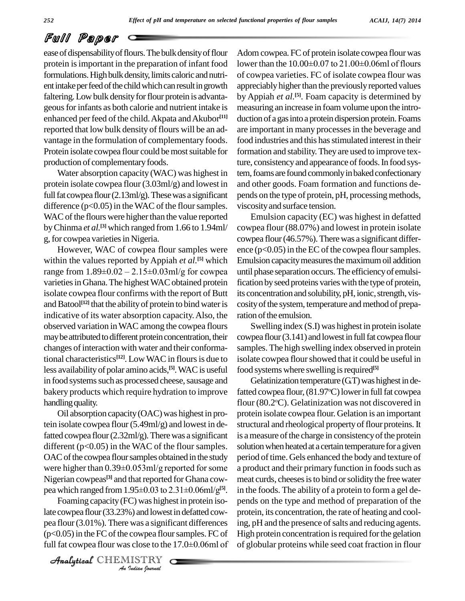ease of dispensability of flours. The bulk density of flour protein is important in the preparation of infant food lower than the  $10.00\pm0.07$  to  $21.00\pm0.06$ ml of flours formulations. High bulk density, limits caloric and nutrient intake per feed of the child which can result in growth faltering. Low bulk density for flour protein is advantageous for infants as both calorie and nutrient intake is enhanced per feed of the child. Akpata and Akubor<sup>[11]</sup> d reported that low bulk density of flours will be an advantage in the formulation of complementary foods. Protein isolate cowpea flour could be most suitable for production of complementary foods.

Water absorption capacity (WAC) was highest in protein isolate cowpea flour (3.03ml/g) and lowest in full fat cowpea flour  $(2.13 \text{ml/g})$ . These was a significant difference  $(p<0.05)$  in the WAC of the flour samples. WAC of the flours were higher than the value reported byChinma *et al.* **[3]** which ranged from 1.66 to 1.94ml/ g, for cowpea varieties in Nigeria.

However, WAC of cowpea flour samples were within the values reported by Appiah *et al*.<sup>[5]</sup> which Emulsi range from  $1.89 \pm 0.02 - 2.15 \pm 0.03$ ml/g for cowpea varieties in Ghana. The highest WAC obtained protein isolate cowpea flour confirms with the report of Butt and Batool<sup>[12]</sup> that the ability of protein to bind water is cosit indicative of its water absorption capacity.Also, the observed variation inWAC among the cowpea flours may be attributed to different protein concentration, their changes of interaction with water and their conformational characteristics **[12]**. LowWAC in floursis due to less availability of polar amino acids,<sup>[5]</sup>. WAC is useful foo in food systems such as processed cheese, sausage and bakery products which require hydration to improve handling quality.

Oil absorption capacity(OAC)was highest in protein isolate cowpea flour (5.49ml/g) and lowest in defatted cowpea flour  $(2.32 \text{ml/g})$ . There was a significant different (p<0.05) in the WAC of the flour samples. solution OAC of the cowpea flour samples obtained in the study period were higher than  $0.39 \pm 0.053$  ml/g reported for some a proced OAC of the cowpea flour samples obtained in the study Nigerian cowpeas<sup>[3]</sup> and that reported for Ghana cow- mea were higher than  $0.39\pm0.053$  ml/g reported for some pea which ranged from  $1.95 \pm 0.03$  to  $2.31 \pm 0.06$ ml/g<sup>[5]</sup>.

Foaming capacity (FC) was highest in protein iso-*I*<br>*I* was a significance<br> *I* was a significance<br> *I* ISTRY late cowpea flour  $(33.23%)$  and lowest in defatted cowpea flour(3.01%). There was a significant differences  $(p<0.05)$  in the FC of the cowpea flour samples. FC of full fat cowpea flour was close to the 17.0±0.06ml of

CHEMISTRY

Adom cowpea. FC of protein isolate cowpea flour was Adom cowpea. FC of protein isolate cowpea flour was<br>lower than the  $10.00\pm0.07$  to  $21.00\pm0.06$ ml of flours of cowpea varieties. FC of isolate cowpea flour was appreciably higher than the previously reported values by Appiah *et al.* **[5]**. Foam capacity is determined by measuring an increase in foamvolume upon the intro duction of a gas into a protein dispersion protein. Foams are important in many processesin the beverage and food industries and this has stimulated interest in their formation and stability.They are used to improve texture, consistency and appearance of foods. In food system, foams are found commonly in baked confectionary and other goods. Foam formation and functions de pends on the type of protein, pH, processing methods, viscosityand surface tension.

Emulsion capacity (EC) was highest in defatted cowpea flour (88.07%) and lowest in protein isolate cowpea flour (46.57%). There was a significant difference  $(p<0.05)$  in the EC of the cowpea flour samples. Emulsion capacity measures the maximum oil addition until phase separation occurs.The efficiencyof emulsification by seed proteins varies with the type of protein, its concentration and solubility, pH, ionic, strength, viscosity of the system, temperature and method of preparation of the emulsion.

Swelling index (S.I) was highest in protein isolate  $c$ owpea flour  $(3.141)$  and lowest in full fat cowpea flour samples. The high swelling index observed in protein isolate cowpea flour showed that it could be useful in food systems where swelling is required<sup>[5]</sup>

Gelatinization temperature  $(GT)$  was highest in defatted cowpea flour, (81.97°C) lower in full fat cowpea flour (80.2°C). Gelatinization was not discovered in protein isolate cowpea flour. Gelation is an important structural and rheological property of flour proteins. It is a measure of the charge in consistency of the protein solution when heated at a certain temperature for a given period of time. Gels enhanced the body and texture of a product and their primary function in foods such as meat curds, cheeses is to bind or solidity the free water in the foods. The ability of a protein to form a gel de pends on the type and method of preparation of the protein, its concentration, the rate of heating and cooling, pH and the presence of salts and reducing agents. High protein concentration is required for the gelation of globular proteins while seed coat fraction in flour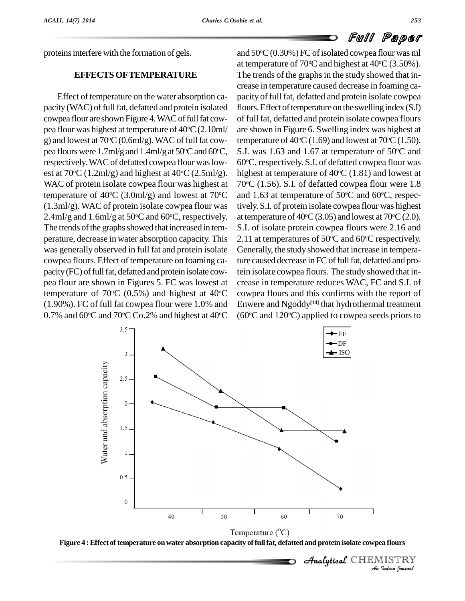proteins interfere with the formation of gels.

#### **EFFECTSOFTEMPERATURE**

Effect of temperature on the water absorption capacity (WAC) of full fat, defatted and protein isolated cowpea flour are shown Figure 4. WAC of full fat cowpea flour was highest at temperature of  $40^{\circ}$ C $(2.10$ ml/ are g) and lowest at  $70^{\circ}$ C (0.6ml/g). WAC of full fat cow- tem pea flours were  $1.7 \text{ml/g}$  and  $1.4 \text{ml/g}$  at  $50^{\circ}$ C and  $60^{\circ}$ C, S.I. respectively. WAC of defatted cowpea flour was lowest at  $70^{\circ}$ C (1.2ml/g) and highest at  $40^{\circ}$ C (2.5ml/g). hi WAC of protein isolate cowpea flour was highest at temperature of  $40^{\circ}$ C (3.0ml/g) and lowest at  $70^{\circ}$ C and (1.3ml/g). WAC of protein isolate cowpea flour was  $2.4$ ml/g and  $1.6$ ml/g at  $50^{\circ}$ C and  $60^{\circ}$ C, respectively. at The trends of the graphs showed that increased in temperature, decrease in water absorption capacity. This was generally observed in full fat and protein isolate cowpea flours. Effect of temperature on foaming ca pacity (FC) of full fat, defatted and protein isolate cowpea flour are shown in Figures 5.FC was lowest at temperature of 70 °C (0.5%) and highest at 40 °C cow (1.90%). FC of full fat cowpea flour were 1.0% and 0.7% and 60 °C and 70 °C Co.2% and highest at 40 °C  $\;$  (60  $\;$ 

 $\rm ^{\circ}C$  and 1.63 at temperature of 50 $\rm ^{\circ}C$  and 60 $\rm ^{\circ}C$ , respec-<sup>o</sup>C cowpea flours and this confirms with the report of  $\rm{C}$  (60 $\rm{C}$  and 120 $\rm{C}$ ) applied to cowpea seeds priors to and 50°C (0.30%) FC of isolated cowpea flour was ml at temperature of  $70^{\circ}$ C and highest at  $40^{\circ}$ C (3.50%). The trends of the graphs in the study showed that increase in temperature caused decrease in foaming ca pacity of full fat, defatted and protein isolate cowpea flours. Effect of temperature on the swelling index (S.I) of full fat, defatted and protein isolate cowpea flours are shown in Figure 6. Swelling index was highest at temperature of  $40^{\circ}$ C (1.69) and lowest at  $70^{\circ}$ C (1.50). S.I. was 1.63 and 1.67 at temperature of  $50^{\circ}$ C and 60°C, respectively. S.I. of defatted cowpea flour was highest at temperature of  $40^{\circ}$ C (1.81) and lowest at  $70^{\circ}$ C (1.56). S.I. of defatted cowpea flour were 1.8 tively. S.I. of protein isolate cowpea flour was highest at temperature of  $40^{\circ}\text{C}$  (3.05) and lowest at  $70^{\circ}\text{C}$  (2.0). S.I. of isolate protein cowpea flours were 2.16 and 2.11 at temperatures of 50 $\degree$ C and 60 $\degree$ C respectively. Generally, the study showed that increase in temperature caused decrease in FC of full fat, defatted and protein isolate cowpea flours. The study showed that in crease in temperature reduces WAC, FC and S.I. of Enwere and Ngoddy **[14]** that hydrothermal treatment





 *Indian Journal*  $\mathcal{A}$ nalytical $\mathcal{C}$ HEMISTRY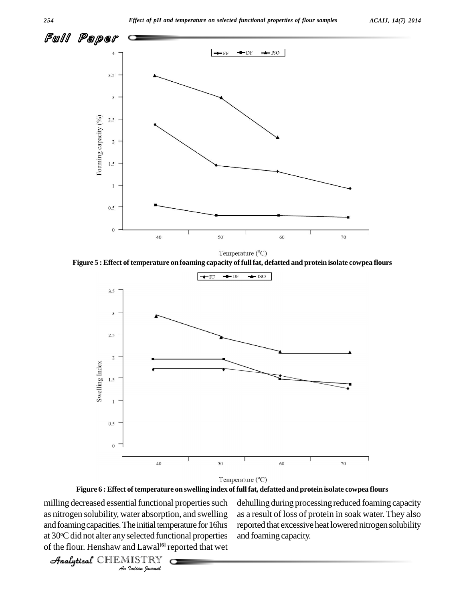

Temperature (°C)





Temperature (°C)

**Figure 6 :Effect of temperature on swelling index offullfat, defatted and protein isolate cowpea flours**

milling decreased essential functional properties such dehulli *Indianal*<br>*Indianal*<br>*Indianal*<br>*Indian bournal*<br>*Indian bournal* Analytical and the solution of properties such a column as nitrogen solubility, water absorption, and swelling as a res and foaming capacities. The initial temperature for 16hrs at 30°C did not alter any selected functional properties and f of the flour. Henshaw andLawal **[6]** reported that wet

dehulling during processing reduced foaming capacity as a result of loss of protein in soak water.They also reported that excessive heat lowered nitrogen solubility and foaming capacity.

CHEMISTRY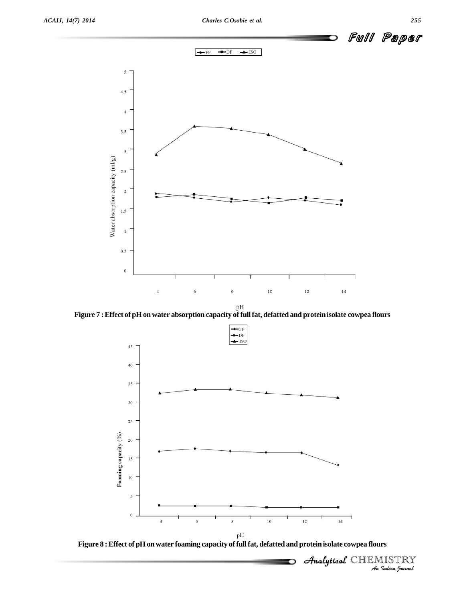

**Figure 7 :Effect of pH onwater absorption capacity offullfat, defatted and proteinisolate cowpea flours**



**Figure 8 :Effect of pH onwater foaming capacity offullfat, defatted and protein isolate cowpea flours**

∍

 *Indian Journal* CHEMISTRY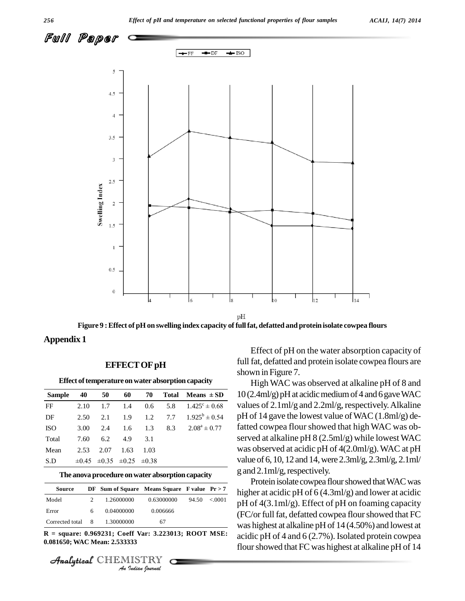

**Figure 9 :Effect of pH on swelling index capacity offullfat, defatted and protein isolate cowpea flours**

**Appendix 1**

#### **EFFECTOFpH**

|               |            |            |            |            |              | Effect of temperature on water absorption capacity | Hi        |
|---------------|------------|------------|------------|------------|--------------|----------------------------------------------------|-----------|
| <b>Sample</b> | 40         | 50         | 60         | 70         | <b>Total</b> | Means $\pm$ SD                                     | 10(2.4)   |
| FF            | 2.10       | 1.7        | 1.4        | 0.6        | 5.8          | $1.425^{\circ} \pm 0.68$                           | values    |
| DF            | 2.50       | 2.1        | 1.9        | 1.2        | 7.7          | $1.925^b \pm 0.54$                                 | $pH$ of 1 |
| <b>ISO</b>    | 3.00       | 2.4        | 1.6        | 1.3        | 8.3          | $2.08^a \pm 0.77$                                  | fatted    |
| Total         | 7.60       | 6.2        | 4.9        | 3.1        |              |                                                    | served    |
| Mean          | 2.53       | 2.07       | 1.63       | 1.03       |              |                                                    | was ob    |
| S.D           | $\pm 0.45$ | $\pm 0.35$ | $\pm 0.25$ | $\pm 0.38$ |              |                                                    | value o   |

#### **The anovaprocedure onwater absorption capacity**

| <b>Source</b>   |   | DF Sum of Square Means Square F value $Pr > 7$       |            |       |        |
|-----------------|---|------------------------------------------------------|------------|-------|--------|
| Model           | 2 | 1.26000000                                           | 0.63000000 | 94.50 | < 0001 |
| Error           | 6 | 0.04000000                                           | 0.006666   |       |        |
| Corrected total | 8 | 1.30000000                                           | 67         |       |        |
|                 |   | R = square: 0.969231; Coeff Var: 3.223013; ROOT MSE: |            |       |        |
|                 |   | 0.081650; WAC Mean: 2.533333                         |            |       |        |
|                 |   |                                                      |            |       |        |
|                 |   | Analytical CHEMISTRY<br>An Indian Operval            |            |       |        |

CHEMISTRY

Effect of pH on the water absorption capacity of full fat, defatted and protein isolate cowpea flours are shown in Figure 7.

 $\overline{0.68}$  10 (2.4ml/g) pH at acidic medium of 4 and 6 gave WAC<br>values of 2.1ml/g and 2.2ml/g, respectively. Alkaline values of 2.1 ml/g and 2.2 ml/g, respectively. Alkaline<br>0.54 pH of 14 gave the lowest value of WAC  $(1.8 \text{ml/g})$  de-0.54 pH of 14 gave the lowest value of WAC (1.8ml/g) de-<br>0.77 fatted cowpea flour showed that high WAC was ob-High WAC was observed at alkaline pH of 8 and pH of 14 gave the lowest value ofWAC (1.8ml/g) deserved at alkaline pH 8 (2.5ml/g) while lowest WAC was observed at acidic pH of 4(2.0ml/g).WAC at pH value of 6,10, 12 and 14,were 2.3ml/g, 2.3ml/g, 2.1ml/ g and 2.1ml/g, respectively.

> Protein isolate cowpea flour showed that WAC was higher at acidic pH of  $6(4.3ml/g)$  and lower at acidic pH of 4(3.1ml/g). Effect of pH on foaming capacity (FC/or full fat, defatted cowpea flour showed that FC was highest at alkaline pH of 14 (4.50%) and lowest at acidic pH of 4 and 6 (2.7%). Isolated protein cowpea flour showed that FC was highest at alkaline pH of 14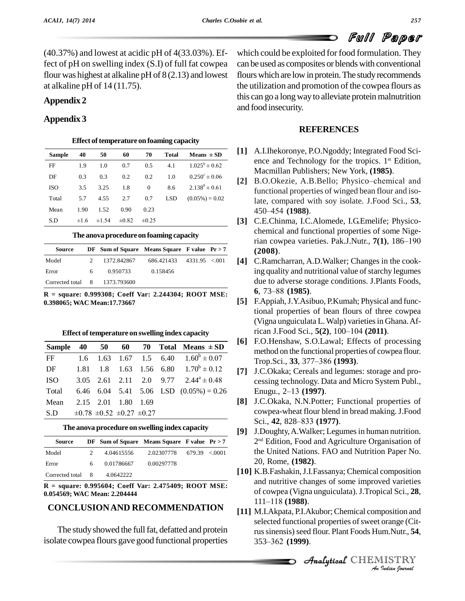(40.37%) and lowest at acidic pH of 4(33.03%). Effect of pH on swelling index (S.I) of full fat cowpea flour was highest at alkaline pH of 8(2.13) and lowest at alkaline pH of 14 (11.75).

### **Appendix 2**

#### **Appendix 3**

|            |      |            |            |            | Effect of temperature on foaming capacity |                          |
|------------|------|------------|------------|------------|-------------------------------------------|--------------------------|
| Sample     | 40   | 50         | 60         | 70         | <b>Total</b>                              | Means $\pm$ SD           |
| FF         | 1.9  | 1.0        | 0.7        | 0.5        | 4.1                                       | $1.025^{\rm b} \pm 0.62$ |
| DF         | 0.3  | 0.3        | 0.2        | 0.2        | 1.0                                       | $0.250^{\circ} \pm 0.06$ |
| <b>ISO</b> | 3.5  | 3.25       | 1.8        | $\theta$   | 8.6                                       | $2.138^9 \pm 0.61$       |
| Total      | 5.7  | 4.55       | 2.7        | 0.7        | <b>LSD</b>                                | $(0.05\%) = 0.02$        |
| Mean       | 1.90 | 1.52       | 0.90       | 0.23       |                                           |                          |
| S.D        | ±1.6 | $\pm 1.54$ | $\pm 0.82$ | $\pm 0.25$ |                                           |                          |

#### **The anovaprocedureon foaming capacity**

| Source                        |    | DF Sum of Square Means Square F value $Pr > 7$ |                              |  |
|-------------------------------|----|------------------------------------------------|------------------------------|--|
| Model                         |    | 1372.842867                                    | $686.421433$ $4331.95$ < 001 |  |
| Error                         | 6. | 0.950733                                       | 0.158456                     |  |
| Corrected total 8 1373.793600 |    |                                                |                              |  |

**R = square: 0.999308; Coeff Var: 2.244304; ROOT MSE: 0.398065; WAC Mean:17.73667**

|               |      |      |                                       |      |      | Effect of temperature on swelling index capacity |     | rica            |
|---------------|------|------|---------------------------------------|------|------|--------------------------------------------------|-----|-----------------|
| <b>Sample</b> | 40   | 50   | 60                                    | 70   |      | Total Means $\pm$ SD                             | [6] | F.C<br>me       |
| FF            | 1.6  | 1.63 | 1.67                                  | 1.5  | 6.40 | $1.60^{\rm b} \pm 0.07$                          |     | Tro             |
| DF            | 1.81 | 1.8  | 1.63                                  |      |      | 1.56 6.80 $1.70^b \pm 0.12$                      | [7] | J.C             |
| <b>ISO</b>    | 3.05 | 2.61 | $2.11 \quad 2.0$                      |      |      | 9.77 $2.44^{\circ} \pm 0.48$                     |     | ces             |
| Total         | 6.46 |      |                                       |      |      | 6.04 5.41 5.06 LSD $(0.05\%) = 0.26$             |     | En <sub>1</sub> |
| Mean          | 2.15 | 2.01 | 1.80                                  | 1.69 |      |                                                  | [8] | J.C             |
| S.D           |      |      | $\pm 0.78 \pm 0.52 \pm 0.27 \pm 0.27$ |      |      |                                                  |     | $\cos$          |

#### **The anova procedure on swelling index capacity**

| Source            |   | DF Sum of Square Means Square F value $Pr > 7$ |                            |  |
|-------------------|---|------------------------------------------------|----------------------------|--|
| Model             |   | 4.04615556                                     | $2.02307778$ 679.39 < 0001 |  |
| Error             | 6 | 0.01786667                                     | 0.00297778                 |  |
| Corrected total 8 |   | 4.0642222                                      |                            |  |

**R = square: 0.995604; Coeff Var: 2.475409; ROOT MSE: 0.054569; WAC Mean: 2.204444**

### **CONCLUSION AND RECOMMENDATION** [11] MJ Alpata BLA

The study showed the full fat, defatted and protein isolate cowpea flours gave good functional properties 353–362 (1999).

which could be exploited for food formulation. They can be used as composites or blends with conventional flours which are low in protein. The study recommends the utilization and promotion of the cowpea flours as this can go a long way to alleviate protein malnutrition and food insecurity.

#### **REFERENCES**

- **[1]** A.I.Ihekoronye, P.O.Ngoddy; Integrated Food Sci ence and Technology for the tropics. 1<sup>st</sup> Edition, Macmillan Publishers; New York, **(1985)**.
- [2] B.O.Okezie, A.B.Bello; Physico–chemical and functional properties of winged bean flour and iso-<br>late, compared with soy isolate. J.Food Sci., 53,<br>450–454 (1988). late, compared with soy isolate. J.Food Sci., **53**,
- **[3]** C.E.Chinma, I.C.Alomede, I.G.Emelife; Physico-chemical and functional properties of some Nigerian cowpea varieties. Pak.J.Nutr., **7(1)**, 186–190 chemical and functional properties of some Nige-**(2008)**.
- **[4]** C.Ramcharran, A.D.Walker; Changes in the cooking quality and nutritional value of starchy legumes<br>due to adverse storage conditions. J.Plants Foods,<br>**6**, 73–88 (**1985**). due to adverse storage conditions. J.Plants Foods,
- **[5]** F.Appiah,J.Y.Asibuo, P.Kumah; Physical and functional properties of bean flours of three cowpea (Vigna unguiculata L. Walp) varieties in Ghana. Aftional properties of bean flours of three co<br>(Vigna unguiculata L. Walp) varieties in Ghana<br>rican J.Food Sci., **5(2)**, 100–104 (2011).
- $\frac{1}{\text{S}}$  **[6]** F.O.Henshaw, S.O.Lawal; Effects of processing method on the functional properties of cowpea flour.<br>Trop.Sci., **33**, 377–386 (**1993**). method on the functional properties of cowpea flour.
	- [7] J.C.Okaka; Cereals and legumes: storage and processing technology. Data and Micro System Publ., Enugu., 2–13 (1997). cessing technology. Data and Micro System Publ.,
	- **[8]** J.C.Okaka, N.N.Potter; Functional properties of cowpea-wheat flour blend in bread making.J.Food J.C.Okaka, N.N.Potter; Funct<br>cowpea-wheat flour blend in br<br>Sci., **42**, 828–833 (1977).
	- **[9]** J.Doughty,A.Walker; Legumesin human nutrition. 2 nd Edition, Food and Agriculture Organisation of the United Nations. FAO and Nutrition Paper No. 20, Rome, **(1982)**.
	- **[10]** K.B.Fashakin,J.I.Fassanya; Chemical composition and nutritive changes of some improved varieties<br>of cowpea (Vigna unguiculata). J.Tropical Sci., 28,<br>111–118 (**1988**). of cowpea (Vigna unguiculata).J.Tropical Sci., **28**,
	- *Inoposition and<br>
	Drange (Cition Mutr., 54,<br>
	IISTRY* Analytical**[11]** M.I.Akpata, P.I.Akubor; Chemical composition and selected functional properties of sweet orange (Cit-<br>rus sinensis) seed flour. Plant Foods Hum.Nutr., **54**,<br>353–362 (**1999**). rus sinensis) seed flour. Plant Foods Hum.Nutr., 54,